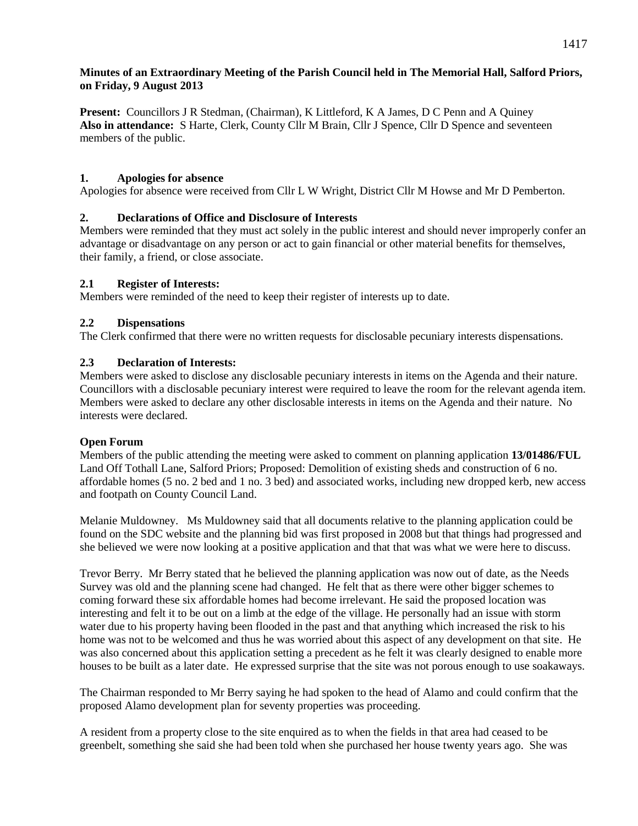# **Minutes of an Extraordinary Meeting of the Parish Council held in The Memorial Hall, Salford Priors, on Friday, 9 August 2013**

**Present:** Councillors J R Stedman, (Chairman), K Littleford, K A James, D C Penn and A Quiney **Also in attendance:** S Harte, Clerk, County Cllr M Brain, Cllr J Spence, Cllr D Spence and seventeen members of the public.

# **1. Apologies for absence**

Apologies for absence were received from Cllr L W Wright, District Cllr M Howse and Mr D Pemberton.

# **2. Declarations of Office and Disclosure of Interests**

Members were reminded that they must act solely in the public interest and should never improperly confer an advantage or disadvantage on any person or act to gain financial or other material benefits for themselves, their family, a friend, or close associate.

# **2.1 Register of Interests:**

Members were reminded of the need to keep their register of interests up to date.

# **2.2 Dispensations**

The Clerk confirmed that there were no written requests for disclosable pecuniary interests dispensations.

# **2.3 Declaration of Interests:**

Members were asked to disclose any disclosable pecuniary interests in items on the Agenda and their nature. Councillors with a disclosable pecuniary interest were required to leave the room for the relevant agenda item. Members were asked to declare any other disclosable interests in items on the Agenda and their nature. No interests were declared.

#### **Open Forum**

Members of the public attending the meeting were asked to comment on planning application **13/01486/FUL**  Land Off Tothall Lane, Salford Priors; Proposed: Demolition of existing sheds and construction of 6 no. affordable homes (5 no. 2 bed and 1 no. 3 bed) and associated works, including new dropped kerb, new access and footpath on County Council Land.

Melanie Muldowney. Ms Muldowney said that all documents relative to the planning application could be found on the SDC website and the planning bid was first proposed in 2008 but that things had progressed and she believed we were now looking at a positive application and that that was what we were here to discuss.

Trevor Berry. Mr Berry stated that he believed the planning application was now out of date, as the Needs Survey was old and the planning scene had changed. He felt that as there were other bigger schemes to coming forward these six affordable homes had become irrelevant. He said the proposed location was interesting and felt it to be out on a limb at the edge of the village. He personally had an issue with storm water due to his property having been flooded in the past and that anything which increased the risk to his home was not to be welcomed and thus he was worried about this aspect of any development on that site. He was also concerned about this application setting a precedent as he felt it was clearly designed to enable more houses to be built as a later date. He expressed surprise that the site was not porous enough to use soakaways.

The Chairman responded to Mr Berry saying he had spoken to the head of Alamo and could confirm that the proposed Alamo development plan for seventy properties was proceeding.

A resident from a property close to the site enquired as to when the fields in that area had ceased to be greenbelt, something she said she had been told when she purchased her house twenty years ago. She was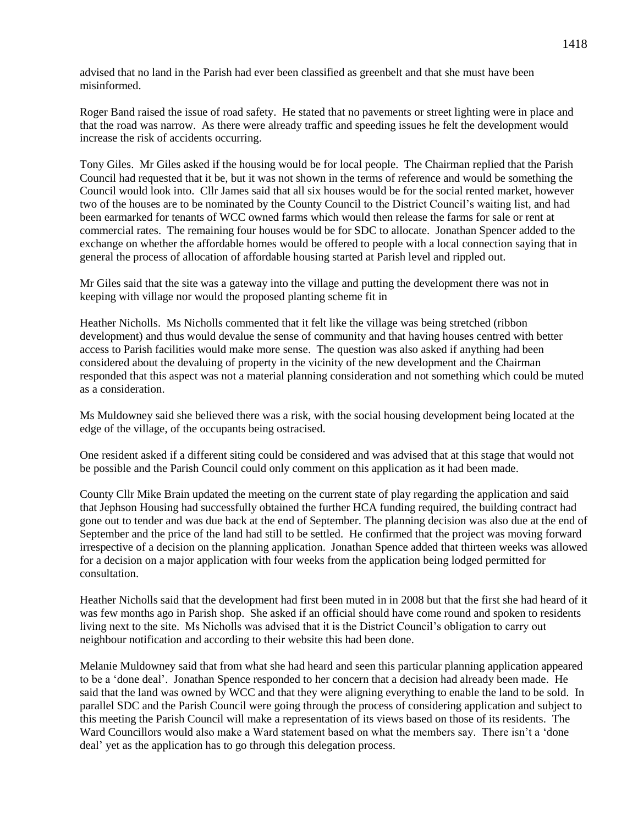advised that no land in the Parish had ever been classified as greenbelt and that she must have been misinformed.

Roger Band raised the issue of road safety. He stated that no pavements or street lighting were in place and that the road was narrow. As there were already traffic and speeding issues he felt the development would increase the risk of accidents occurring.

Tony Giles. Mr Giles asked if the housing would be for local people. The Chairman replied that the Parish Council had requested that it be, but it was not shown in the terms of reference and would be something the Council would look into. Cllr James said that all six houses would be for the social rented market, however two of the houses are to be nominated by the County Council to the District Council's waiting list, and had been earmarked for tenants of WCC owned farms which would then release the farms for sale or rent at commercial rates. The remaining four houses would be for SDC to allocate. Jonathan Spencer added to the exchange on whether the affordable homes would be offered to people with a local connection saying that in general the process of allocation of affordable housing started at Parish level and rippled out.

Mr Giles said that the site was a gateway into the village and putting the development there was not in keeping with village nor would the proposed planting scheme fit in

Heather Nicholls. Ms Nicholls commented that it felt like the village was being stretched (ribbon development) and thus would devalue the sense of community and that having houses centred with better access to Parish facilities would make more sense. The question was also asked if anything had been considered about the devaluing of property in the vicinity of the new development and the Chairman responded that this aspect was not a material planning consideration and not something which could be muted as a consideration.

Ms Muldowney said she believed there was a risk, with the social housing development being located at the edge of the village, of the occupants being ostracised.

One resident asked if a different siting could be considered and was advised that at this stage that would not be possible and the Parish Council could only comment on this application as it had been made.

County Cllr Mike Brain updated the meeting on the current state of play regarding the application and said that Jephson Housing had successfully obtained the further HCA funding required, the building contract had gone out to tender and was due back at the end of September. The planning decision was also due at the end of September and the price of the land had still to be settled. He confirmed that the project was moving forward irrespective of a decision on the planning application. Jonathan Spence added that thirteen weeks was allowed for a decision on a major application with four weeks from the application being lodged permitted for consultation.

Heather Nicholls said that the development had first been muted in in 2008 but that the first she had heard of it was few months ago in Parish shop. She asked if an official should have come round and spoken to residents living next to the site. Ms Nicholls was advised that it is the District Council's obligation to carry out neighbour notification and according to their website this had been done.

Melanie Muldowney said that from what she had heard and seen this particular planning application appeared to be a 'done deal'. Jonathan Spence responded to her concern that a decision had already been made. He said that the land was owned by WCC and that they were aligning everything to enable the land to be sold. In parallel SDC and the Parish Council were going through the process of considering application and subject to this meeting the Parish Council will make a representation of its views based on those of its residents. The Ward Councillors would also make a Ward statement based on what the members say. There isn't a 'done deal' yet as the application has to go through this delegation process.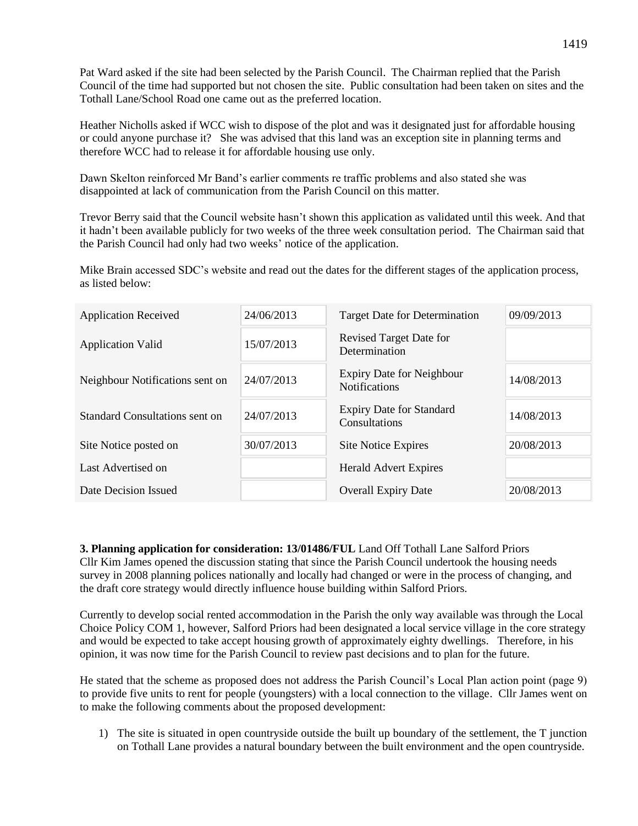Pat Ward asked if the site had been selected by the Parish Council. The Chairman replied that the Parish Council of the time had supported but not chosen the site. Public consultation had been taken on sites and the Tothall Lane/School Road one came out as the preferred location.

Heather Nicholls asked if WCC wish to dispose of the plot and was it designated just for affordable housing or could anyone purchase it? She was advised that this land was an exception site in planning terms and therefore WCC had to release it for affordable housing use only.

Dawn Skelton reinforced Mr Band's earlier comments re traffic problems and also stated she was disappointed at lack of communication from the Parish Council on this matter.

Trevor Berry said that the Council website hasn't shown this application as validated until this week. And that it hadn't been available publicly for two weeks of the three week consultation period. The Chairman said that the Parish Council had only had two weeks' notice of the application.

Mike Brain accessed SDC's website and read out the dates for the different stages of the application process, as listed below:

| <b>Application Received</b>     | 24/06/2013 | <b>Target Date for Determination</b>                     | 09/09/2013 |
|---------------------------------|------------|----------------------------------------------------------|------------|
| <b>Application Valid</b>        | 15/07/2013 | <b>Revised Target Date for</b><br>Determination          |            |
| Neighbour Notifications sent on | 24/07/2013 | <b>Expiry Date for Neighbour</b><br><b>Notifications</b> | 14/08/2013 |
| Standard Consultations sent on  | 24/07/2013 | <b>Expiry Date for Standard</b><br>Consultations         | 14/08/2013 |
| Site Notice posted on           | 30/07/2013 | <b>Site Notice Expires</b>                               | 20/08/2013 |
| Last Advertised on              |            | <b>Herald Advert Expires</b>                             |            |
| Date Decision Issued            |            | <b>Overall Expiry Date</b>                               | 20/08/2013 |

**3. Planning application for consideration: 13/01486/FUL** Land Off Tothall Lane Salford Priors Cllr Kim James opened the discussion stating that since the Parish Council undertook the housing needs survey in 2008 planning polices nationally and locally had changed or were in the process of changing, and the draft core strategy would directly influence house building within Salford Priors.

Currently to develop social rented accommodation in the Parish the only way available was through the Local Choice Policy COM 1, however, Salford Priors had been designated a local service village in the core strategy and would be expected to take accept housing growth of approximately eighty dwellings. Therefore, in his opinion, it was now time for the Parish Council to review past decisions and to plan for the future.

He stated that the scheme as proposed does not address the Parish Council's Local Plan action point (page 9) to provide five units to rent for people (youngsters) with a local connection to the village. Cllr James went on to make the following comments about the proposed development:

1) The site is situated in open countryside outside the built up boundary of the settlement, the T junction on Tothall Lane provides a natural boundary between the built environment and the open countryside.